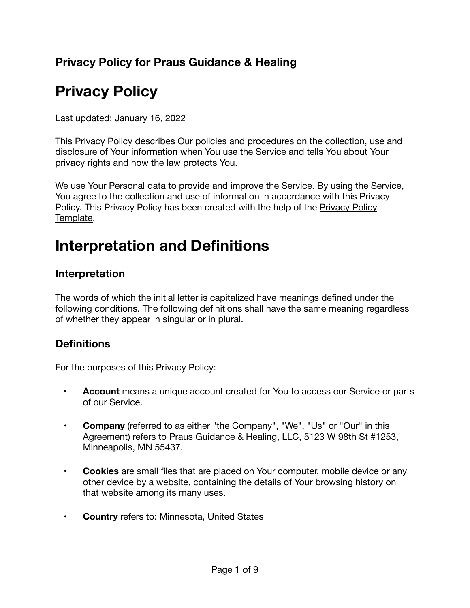### **Privacy Policy for Praus Guidance & Healing**

# **Privacy Policy**

Last updated: January 16, 2022

This Privacy Policy describes Our policies and procedures on the collection, use and disclosure of Your information when You use the Service and tells You about Your privacy rights and how the law protects You.

We use Your Personal data to provide and improve the Service. By using the Service, You agree to the collection and use of information in accordance with this Privacy Policy. This Privacy Policy has been created with the help of the [Privacy Policy](https://www.freeprivacypolicy.com/blog/sample-privacy-policy-template/)  [Template.](https://www.freeprivacypolicy.com/blog/sample-privacy-policy-template/)

## **Interpretation and Definitions**

#### **Interpretation**

The words of which the initial letter is capitalized have meanings defined under the following conditions. The following definitions shall have the same meaning regardless of whether they appear in singular or in plural.

### **Definitions**

For the purposes of this Privacy Policy:

- **• Account** means a unique account created for You to access our Service or parts of our Service.
- **• Company** (referred to as either "the Company", "We", "Us" or "Our" in this Agreement) refers to Praus Guidance & Healing, LLC, 5123 W 98th St #1253, Minneapolis, MN 55437.
- **• Cookies** are small files that are placed on Your computer, mobile device or any other device by a website, containing the details of Your browsing history on that website among its many uses.
- **• Country** refers to: Minnesota, United States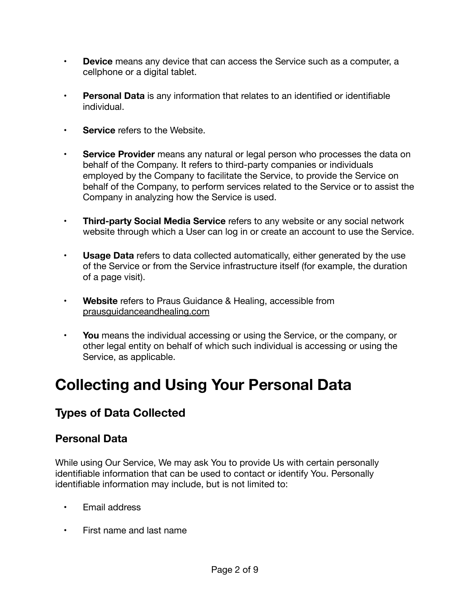- **• Device** means any device that can access the Service such as a computer, a cellphone or a digital tablet.
- **• Personal Data** is any information that relates to an identified or identifiable individual.
- **• Service** refers to the Website.
- **• Service Provider** means any natural or legal person who processes the data on behalf of the Company. It refers to third-party companies or individuals employed by the Company to facilitate the Service, to provide the Service on behalf of the Company, to perform services related to the Service or to assist the Company in analyzing how the Service is used.
- **• Third-party Social Media Service** refers to any website or any social network website through which a User can log in or create an account to use the Service.
- **• Usage Data** refers to data collected automatically, either generated by the use of the Service or from the Service infrastructure itself (for example, the duration of a page visit).
- **• Website** refers to Praus Guidance & Healing, accessible from [prausguidanceandhealing.com](http://prausguidanceandhealing.com)
- **• You** means the individual accessing or using the Service, or the company, or other legal entity on behalf of which such individual is accessing or using the Service, as applicable.

## **Collecting and Using Your Personal Data**

### **Types of Data Collected**

#### **Personal Data**

While using Our Service, We may ask You to provide Us with certain personally identifiable information that can be used to contact or identify You. Personally identifiable information may include, but is not limited to:

- Email address
- First name and last name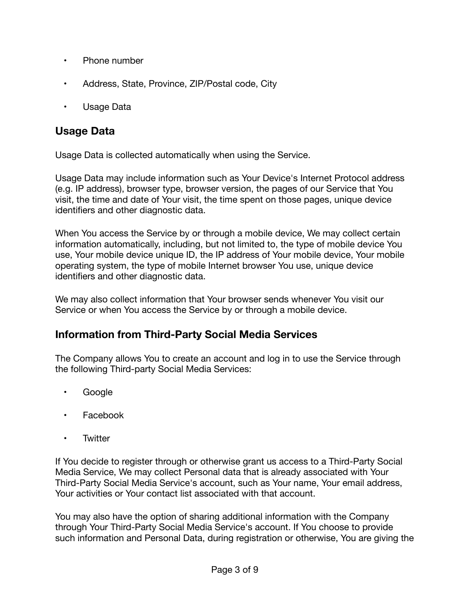- Phone number
- Address, State, Province, ZIP/Postal code, City
- Usage Data

#### **Usage Data**

Usage Data is collected automatically when using the Service.

Usage Data may include information such as Your Device's Internet Protocol address (e.g. IP address), browser type, browser version, the pages of our Service that You visit, the time and date of Your visit, the time spent on those pages, unique device identifiers and other diagnostic data.

When You access the Service by or through a mobile device, We may collect certain information automatically, including, but not limited to, the type of mobile device You use, Your mobile device unique ID, the IP address of Your mobile device, Your mobile operating system, the type of mobile Internet browser You use, unique device identifiers and other diagnostic data.

We may also collect information that Your browser sends whenever You visit our Service or when You access the Service by or through a mobile device.

#### **Information from Third-Party Social Media Services**

The Company allows You to create an account and log in to use the Service through the following Third-party Social Media Services:

- Google
- Facebook
- **Twitter**

If You decide to register through or otherwise grant us access to a Third-Party Social Media Service, We may collect Personal data that is already associated with Your Third-Party Social Media Service's account, such as Your name, Your email address, Your activities or Your contact list associated with that account.

You may also have the option of sharing additional information with the Company through Your Third-Party Social Media Service's account. If You choose to provide such information and Personal Data, during registration or otherwise, You are giving the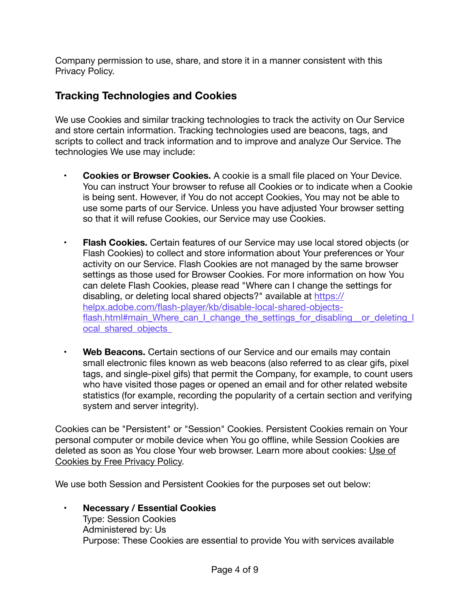Company permission to use, share, and store it in a manner consistent with this Privacy Policy.

#### **Tracking Technologies and Cookies**

We use Cookies and similar tracking technologies to track the activity on Our Service and store certain information. Tracking technologies used are beacons, tags, and scripts to collect and track information and to improve and analyze Our Service. The technologies We use may include:

- **• Cookies or Browser Cookies.** A cookie is a small file placed on Your Device. You can instruct Your browser to refuse all Cookies or to indicate when a Cookie is being sent. However, if You do not accept Cookies, You may not be able to use some parts of our Service. Unless you have adjusted Your browser setting so that it will refuse Cookies, our Service may use Cookies.
- **• Flash Cookies.** Certain features of our Service may use local stored objects (or Flash Cookies) to collect and store information about Your preferences or Your activity on our Service. Flash Cookies are not managed by the same browser settings as those used for Browser Cookies. For more information on how You can delete Flash Cookies, please read "Where can I change the settings for [disabling, or deleting local shared objects?" available at https://](https://helpx.adobe.com/flash-player/kb/disable-local-shared-objects-flash.html#main_Where_can_I_change_the_settings_for_disabling__or_deleting_local_shared_objects_) [helpx.adobe.com/flash-player/kb/disable-local-shared-objects](https://helpx.adobe.com/flash-player/kb/disable-local-shared-objects-flash.html#main_Where_can_I_change_the_settings_for_disabling__or_deleting_local_shared_objects_)flash.html#main\_Where\_can\_I\_change\_the\_settings\_for\_disabling\_or\_deleting\_I [ocal\\_shared\\_objects\\_](https://helpx.adobe.com/flash-player/kb/disable-local-shared-objects-flash.html#main_Where_can_I_change_the_settings_for_disabling__or_deleting_local_shared_objects_)
- **• Web Beacons.** Certain sections of our Service and our emails may contain small electronic files known as web beacons (also referred to as clear gifs, pixel tags, and single-pixel gifs) that permit the Company, for example, to count users who have visited those pages or opened an email and for other related website statistics (for example, recording the popularity of a certain section and verifying system and server integrity).

Cookies can be "Persistent" or "Session" Cookies. Persistent Cookies remain on Your personal computer or mobile device when You go offline, while Session Cookies are deleted as soon as You close Your web browser. Learn more about cookies: [Use of](https://www.freeprivacypolicy.com/blog/sample-privacy-policy-template/#Use_Of_Cookies_And_Tracking)  [Cookies by Free Privacy Policy.](https://www.freeprivacypolicy.com/blog/sample-privacy-policy-template/#Use_Of_Cookies_And_Tracking)

We use both Session and Persistent Cookies for the purposes set out below:

**• Necessary / Essential Cookies** Type: Session Cookies Administered by: Us Purpose: These Cookies are essential to provide You with services available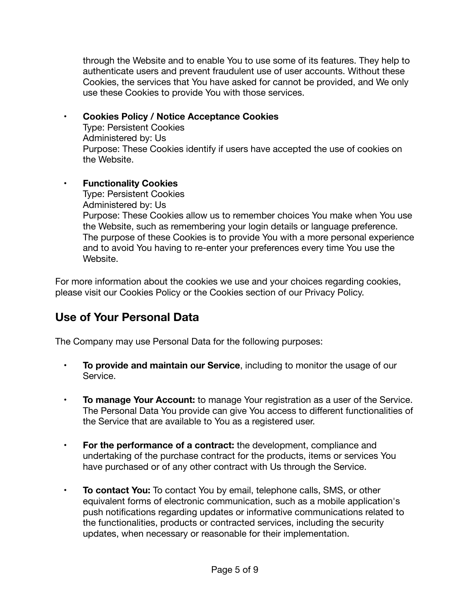through the Website and to enable You to use some of its features. They help to authenticate users and prevent fraudulent use of user accounts. Without these Cookies, the services that You have asked for cannot be provided, and We only use these Cookies to provide You with those services.

#### **• Cookies Policy / Notice Acceptance Cookies**

Type: Persistent Cookies Administered by: Us Purpose: These Cookies identify if users have accepted the use of cookies on the Website.

#### **• Functionality Cookies**

Type: Persistent Cookies Administered by: Us Purpose: These Cookies allow us to remember choices You make when You use the Website, such as remembering your login details or language preference. The purpose of these Cookies is to provide You with a more personal experience and to avoid You having to re-enter your preferences every time You use the Website.

For more information about the cookies we use and your choices regarding cookies, please visit our Cookies Policy or the Cookies section of our Privacy Policy.

### **Use of Your Personal Data**

The Company may use Personal Data for the following purposes:

- **• To provide and maintain our Service**, including to monitor the usage of our Service.
- **• To manage Your Account:** to manage Your registration as a user of the Service. The Personal Data You provide can give You access to different functionalities of the Service that are available to You as a registered user.
- **• For the performance of a contract:** the development, compliance and undertaking of the purchase contract for the products, items or services You have purchased or of any other contract with Us through the Service.
- **• To contact You:** To contact You by email, telephone calls, SMS, or other equivalent forms of electronic communication, such as a mobile application's push notifications regarding updates or informative communications related to the functionalities, products or contracted services, including the security updates, when necessary or reasonable for their implementation.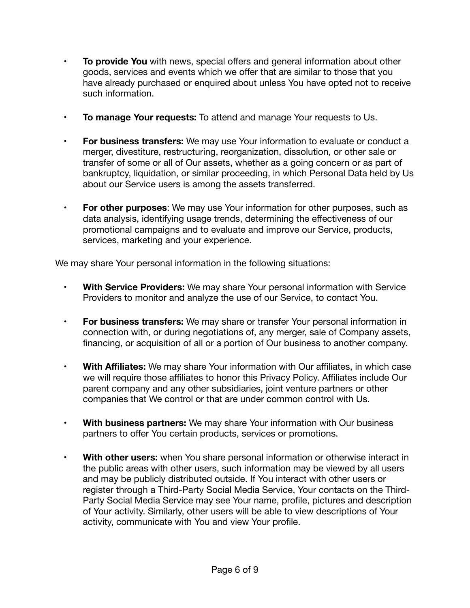- **• To provide You** with news, special offers and general information about other goods, services and events which we offer that are similar to those that you have already purchased or enquired about unless You have opted not to receive such information.
- **• To manage Your requests:** To attend and manage Your requests to Us.
- **• For business transfers:** We may use Your information to evaluate or conduct a merger, divestiture, restructuring, reorganization, dissolution, or other sale or transfer of some or all of Our assets, whether as a going concern or as part of bankruptcy, liquidation, or similar proceeding, in which Personal Data held by Us about our Service users is among the assets transferred.
- **• For other purposes**: We may use Your information for other purposes, such as data analysis, identifying usage trends, determining the effectiveness of our promotional campaigns and to evaluate and improve our Service, products, services, marketing and your experience.

We may share Your personal information in the following situations:

- **• With Service Providers:** We may share Your personal information with Service Providers to monitor and analyze the use of our Service, to contact You.
- **• For business transfers:** We may share or transfer Your personal information in connection with, or during negotiations of, any merger, sale of Company assets, financing, or acquisition of all or a portion of Our business to another company.
- **• With Affiliates:** We may share Your information with Our affiliates, in which case we will require those affiliates to honor this Privacy Policy. Affiliates include Our parent company and any other subsidiaries, joint venture partners or other companies that We control or that are under common control with Us.
- **• With business partners:** We may share Your information with Our business partners to offer You certain products, services or promotions.
- **• With other users:** when You share personal information or otherwise interact in the public areas with other users, such information may be viewed by all users and may be publicly distributed outside. If You interact with other users or register through a Third-Party Social Media Service, Your contacts on the Third-Party Social Media Service may see Your name, profile, pictures and description of Your activity. Similarly, other users will be able to view descriptions of Your activity, communicate with You and view Your profile.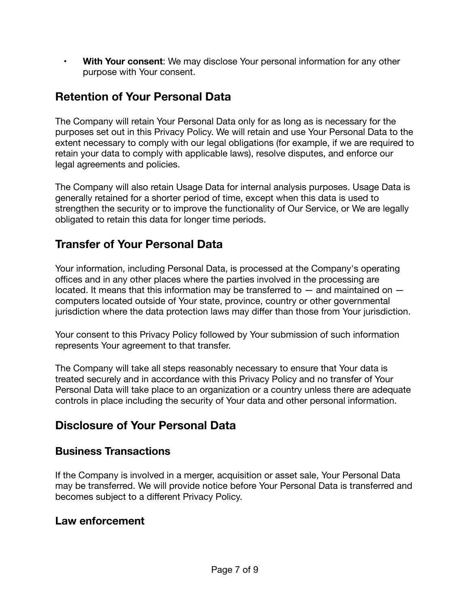**• With Your consent**: We may disclose Your personal information for any other purpose with Your consent.

## **Retention of Your Personal Data**

The Company will retain Your Personal Data only for as long as is necessary for the purposes set out in this Privacy Policy. We will retain and use Your Personal Data to the extent necessary to comply with our legal obligations (for example, if we are required to retain your data to comply with applicable laws), resolve disputes, and enforce our legal agreements and policies.

The Company will also retain Usage Data for internal analysis purposes. Usage Data is generally retained for a shorter period of time, except when this data is used to strengthen the security or to improve the functionality of Our Service, or We are legally obligated to retain this data for longer time periods.

### **Transfer of Your Personal Data**

Your information, including Personal Data, is processed at the Company's operating offices and in any other places where the parties involved in the processing are located. It means that this information may be transferred to  $-$  and maintained on  $$ computers located outside of Your state, province, country or other governmental jurisdiction where the data protection laws may differ than those from Your jurisdiction.

Your consent to this Privacy Policy followed by Your submission of such information represents Your agreement to that transfer.

The Company will take all steps reasonably necessary to ensure that Your data is treated securely and in accordance with this Privacy Policy and no transfer of Your Personal Data will take place to an organization or a country unless there are adequate controls in place including the security of Your data and other personal information.

### **Disclosure of Your Personal Data**

#### **Business Transactions**

If the Company is involved in a merger, acquisition or asset sale, Your Personal Data may be transferred. We will provide notice before Your Personal Data is transferred and becomes subject to a different Privacy Policy.

#### **Law enforcement**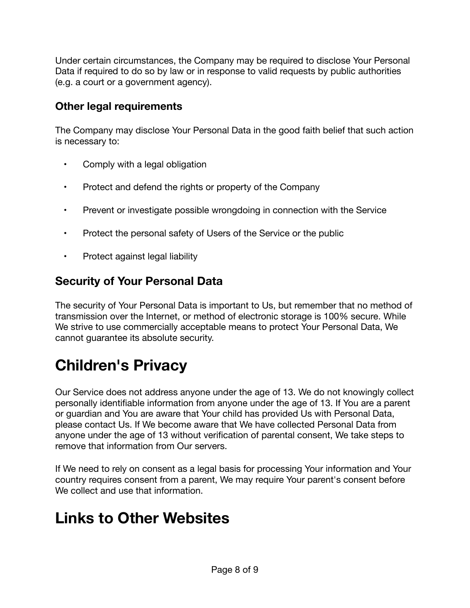Under certain circumstances, the Company may be required to disclose Your Personal Data if required to do so by law or in response to valid requests by public authorities (e.g. a court or a government agency).

#### **Other legal requirements**

The Company may disclose Your Personal Data in the good faith belief that such action is necessary to:

- Comply with a legal obligation
- Protect and defend the rights or property of the Company
- Prevent or investigate possible wrongdoing in connection with the Service
- Protect the personal safety of Users of the Service or the public
- Protect against legal liability

## **Security of Your Personal Data**

The security of Your Personal Data is important to Us, but remember that no method of transmission over the Internet, or method of electronic storage is 100% secure. While We strive to use commercially acceptable means to protect Your Personal Data, We cannot guarantee its absolute security.

# **Children's Privacy**

Our Service does not address anyone under the age of 13. We do not knowingly collect personally identifiable information from anyone under the age of 13. If You are a parent or guardian and You are aware that Your child has provided Us with Personal Data, please contact Us. If We become aware that We have collected Personal Data from anyone under the age of 13 without verification of parental consent, We take steps to remove that information from Our servers.

If We need to rely on consent as a legal basis for processing Your information and Your country requires consent from a parent, We may require Your parent's consent before We collect and use that information.

## **Links to Other Websites**